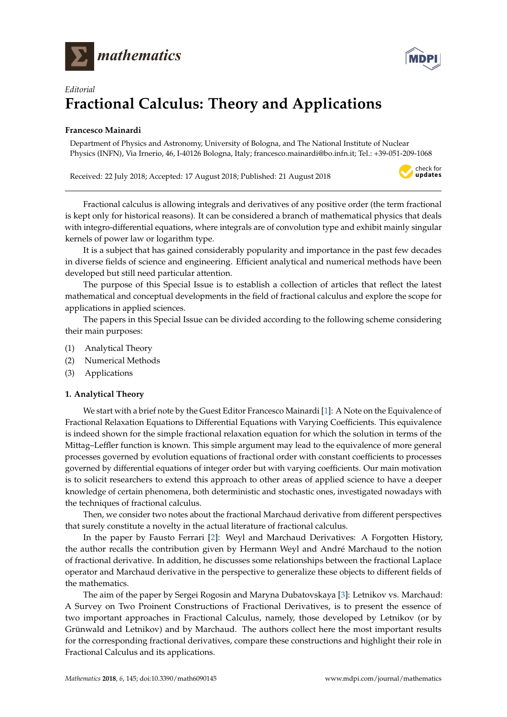



# *Editorial* **Fractional Calculus: Theory and Applications**

# **Francesco Mainardi**

Department of Physics and Astronomy, University of Bologna, and The National Institute of Nuclear Physics (INFN), Via Irnerio, 46, I-40126 Bologna, Italy; francesco.mainardi@bo.infn.it; Tel.: +39-051-209-1068

Received: 22 July 2018; Accepted: 17 August 2018; Published: 21 August 2018



Fractional calculus is allowing integrals and derivatives of any positive order (the term fractional is kept only for historical reasons). It can be considered a branch of mathematical physics that deals with integro-differential equations, where integrals are of convolution type and exhibit mainly singular kernels of power law or logarithm type.

It is a subject that has gained considerably popularity and importance in the past few decades in diverse fields of science and engineering. Efficient analytical and numerical methods have been developed but still need particular attention.

The purpose of this Special Issue is to establish a collection of articles that reflect the latest mathematical and conceptual developments in the field of fractional calculus and explore the scope for applications in applied sciences.

The papers in this Special Issue can be divided according to the following scheme considering their main purposes:

- (1) Analytical Theory
- (2) Numerical Methods
- (3) Applications

## **1. Analytical Theory**

We start with a brief note by the Guest Editor Francesco Mainardi [\[1\]](#page-3-0): A Note on the Equivalence of Fractional Relaxation Equations to Differential Equations with Varying Coefficients. This equivalence is indeed shown for the simple fractional relaxation equation for which the solution in terms of the Mittag–Leffler function is known. This simple argument may lead to the equivalence of more general processes governed by evolution equations of fractional order with constant coefficients to processes governed by differential equations of integer order but with varying coefficients. Our main motivation is to solicit researchers to extend this approach to other areas of applied science to have a deeper knowledge of certain phenomena, both deterministic and stochastic ones, investigated nowadays with the techniques of fractional calculus.

Then, we consider two notes about the fractional Marchaud derivative from different perspectives that surely constitute a novelty in the actual literature of fractional calculus.

In the paper by Fausto Ferrari [\[2\]](#page-3-1): Weyl and Marchaud Derivatives: A Forgotten History, the author recalls the contribution given by Hermann Weyl and André Marchaud to the notion of fractional derivative. In addition, he discusses some relationships between the fractional Laplace operator and Marchaud derivative in the perspective to generalize these objects to different fields of the mathematics.

The aim of the paper by Sergei Rogosin and Maryna Dubatovskaya [\[3\]](#page-3-2): Letnikov vs. Marchaud: A Survey on Two Proinent Constructions of Fractional Derivatives, is to present the essence of two important approaches in Fractional Calculus, namely, those developed by Letnikov (or by Grünwald and Letnikov) and by Marchaud. The authors collect here the most important results for the corresponding fractional derivatives, compare these constructions and highlight their role in Fractional Calculus and its applications.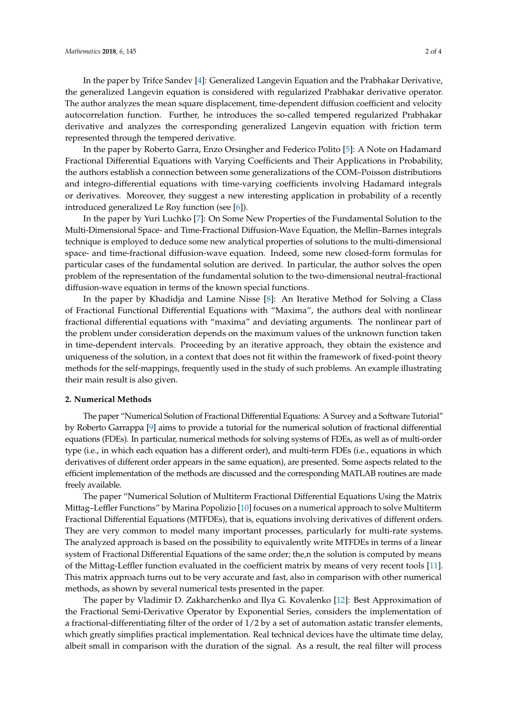In the paper by Trifce Sandev [\[4\]](#page-3-3): Generalized Langevin Equation and the Prabhakar Derivative, the generalized Langevin equation is considered with regularized Prabhakar derivative operator. The author analyzes the mean square displacement, time-dependent diffusion coefficient and velocity autocorrelation function. Further, he introduces the so-called tempered regularized Prabhakar derivative and analyzes the corresponding generalized Langevin equation with friction term represented through the tempered derivative.

In the paper by Roberto Garra, Enzo Orsingher and Federico Polito [\[5\]](#page-3-4): A Note on Hadamard Fractional Differential Equations with Varying Coefficients and Their Applications in Probability, the authors establish a connection between some generalizations of the COM–Poisson distributions and integro-differential equations with time-varying coefficients involving Hadamard integrals or derivatives. Moreover, they suggest a new interesting application in probability of a recently introduced generalized Le Roy function (see [\[6\]](#page-3-5)).

In the paper by Yuri Luchko [\[7\]](#page-3-6): On Some New Properties of the Fundamental Solution to the Multi-Dimensional Space- and Time-Fractional Diffusion-Wave Equation, the Mellin–Barnes integrals technique is employed to deduce some new analytical properties of solutions to the multi-dimensional space- and time-fractional diffusion-wave equation. Indeed, some new closed-form formulas for particular cases of the fundamental solution are derived. In particular, the author solves the open problem of the representation of the fundamental solution to the two-dimensional neutral-fractional diffusion-wave equation in terms of the known special functions.

In the paper by Khadidja and Lamine Nisse [\[8\]](#page-3-7): An Iterative Method for Solving a Class of Fractional Functional Differential Equations with "Maxima", the authors deal with nonlinear fractional differential equations with "maxima" and deviating arguments. The nonlinear part of the problem under consideration depends on the maximum values of the unknown function taken in time-dependent intervals. Proceeding by an iterative approach, they obtain the existence and uniqueness of the solution, in a context that does not fit within the framework of fixed-point theory methods for the self-mappings, frequently used in the study of such problems. An example illustrating their main result is also given.

#### **2. Numerical Methods**

The paper "Numerical Solution of Fractional Differential Equations: A Survey and a Software Tutorial" by Roberto Garrappa [\[9\]](#page-3-8) aims to provide a tutorial for the numerical solution of fractional differential equations (FDEs). In particular, numerical methods for solving systems of FDEs, as well as of multi-order type (i.e., in which each equation has a different order), and multi-term FDEs (i.e., equations in which derivatives of different order appears in the same equation), are presented. Some aspects related to the efficient implementation of the methods are discussed and the corresponding MATLAB routines are made freely available.

The paper "Numerical Solution of Multiterm Fractional Differential Equations Using the Matrix Mittag–Leffler Functions" by Marina Popolizio [\[10\]](#page-3-9) focuses on a numerical approach to solve Multiterm Fractional Differential Equations (MTFDEs), that is, equations involving derivatives of different orders. They are very common to model many important processes, particularly for multi-rate systems. The analyzed approach is based on the possibility to equivalently write MTFDEs in terms of a linear system of Fractional Differential Equations of the same order; the,n the solution is computed by means of the Mittag-Leffler function evaluated in the coefficient matrix by means of very recent tools [\[11\]](#page-3-10). This matrix approach turns out to be very accurate and fast, also in comparison with other numerical methods, as shown by several numerical tests presented in the paper.

The paper by Vladimir D. Zakharchenko and Ilya G. Kovalenko [\[12\]](#page-3-11): Best Approximation of the Fractional Semi-Derivative Operator by Exponential Series, considers the implementation of a fractional-differentiating filter of the order of  $1/2$  by a set of automation astatic transfer elements, which greatly simplifies practical implementation. Real technical devices have the ultimate time delay, albeit small in comparison with the duration of the signal. As a result, the real filter will process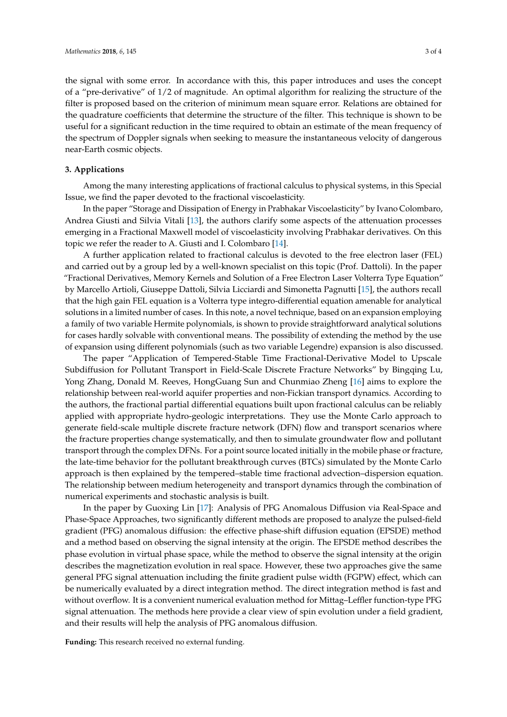the signal with some error. In accordance with this, this paper introduces and uses the concept of a "pre-derivative" of 1/2 of magnitude. An optimal algorithm for realizing the structure of the filter is proposed based on the criterion of minimum mean square error. Relations are obtained for the quadrature coefficients that determine the structure of the filter. This technique is shown to be useful for a significant reduction in the time required to obtain an estimate of the mean frequency of the spectrum of Doppler signals when seeking to measure the instantaneous velocity of dangerous

## **3. Applications**

near-Earth cosmic objects.

Among the many interesting applications of fractional calculus to physical systems, in this Special Issue, we find the paper devoted to the fractional viscoelasticity.

In the paper "Storage and Dissipation of Energy in Prabhakar Viscoelasticity" by Ivano Colombaro, Andrea Giusti and Silvia Vitali [\[13\]](#page-3-12), the authors clarify some aspects of the attenuation processes emerging in a Fractional Maxwell model of viscoelasticity involving Prabhakar derivatives. On this topic we refer the reader to A. Giusti and I. Colombaro [\[14\]](#page-3-13).

A further application related to fractional calculus is devoted to the free electron laser (FEL) and carried out by a group led by a well-known specialist on this topic (Prof. Dattoli). In the paper "Fractional Derivatives, Memory Kernels and Solution of a Free Electron Laser Volterra Type Equation" by Marcello Artioli, Giuseppe Dattoli, Silvia Licciardi and Simonetta Pagnutti [\[15\]](#page-3-14), the authors recall that the high gain FEL equation is a Volterra type integro-differential equation amenable for analytical solutions in a limited number of cases. In this note, a novel technique, based on an expansion employing a family of two variable Hermite polynomials, is shown to provide straightforward analytical solutions for cases hardly solvable with conventional means. The possibility of extending the method by the use of expansion using different polynomials (such as two variable Legendre) expansion is also discussed.

The paper "Application of Tempered-Stable Time Fractional-Derivative Model to Upscale Subdiffusion for Pollutant Transport in Field-Scale Discrete Fracture Networks" by Bingqing Lu, Yong Zhang, Donald M. Reeves, HongGuang Sun and Chunmiao Zheng [\[16\]](#page-3-15) aims to explore the relationship between real-world aquifer properties and non-Fickian transport dynamics. According to the authors, the fractional partial differential equations built upon fractional calculus can be reliably applied with appropriate hydro-geologic interpretations. They use the Monte Carlo approach to generate field-scale multiple discrete fracture network (DFN) flow and transport scenarios where the fracture properties change systematically, and then to simulate groundwater flow and pollutant transport through the complex DFNs. For a point source located initially in the mobile phase or fracture, the late-time behavior for the pollutant breakthrough curves (BTCs) simulated by the Monte Carlo approach is then explained by the tempered–stable time fractional advection–dispersion equation. The relationship between medium heterogeneity and transport dynamics through the combination of numerical experiments and stochastic analysis is built.

In the paper by Guoxing Lin [\[17\]](#page-3-16): Analysis of PFG Anomalous Diffusion via Real-Space and Phase-Space Approaches, two significantly different methods are proposed to analyze the pulsed-field gradient (PFG) anomalous diffusion: the effective phase-shift diffusion equation (EPSDE) method and a method based on observing the signal intensity at the origin. The EPSDE method describes the phase evolution in virtual phase space, while the method to observe the signal intensity at the origin describes the magnetization evolution in real space. However, these two approaches give the same general PFG signal attenuation including the finite gradient pulse width (FGPW) effect, which can be numerically evaluated by a direct integration method. The direct integration method is fast and without overflow. It is a convenient numerical evaluation method for Mittag–Leffler function-type PFG signal attenuation. The methods here provide a clear view of spin evolution under a field gradient, and their results will help the analysis of PFG anomalous diffusion.

**Funding:** This research received no external funding.